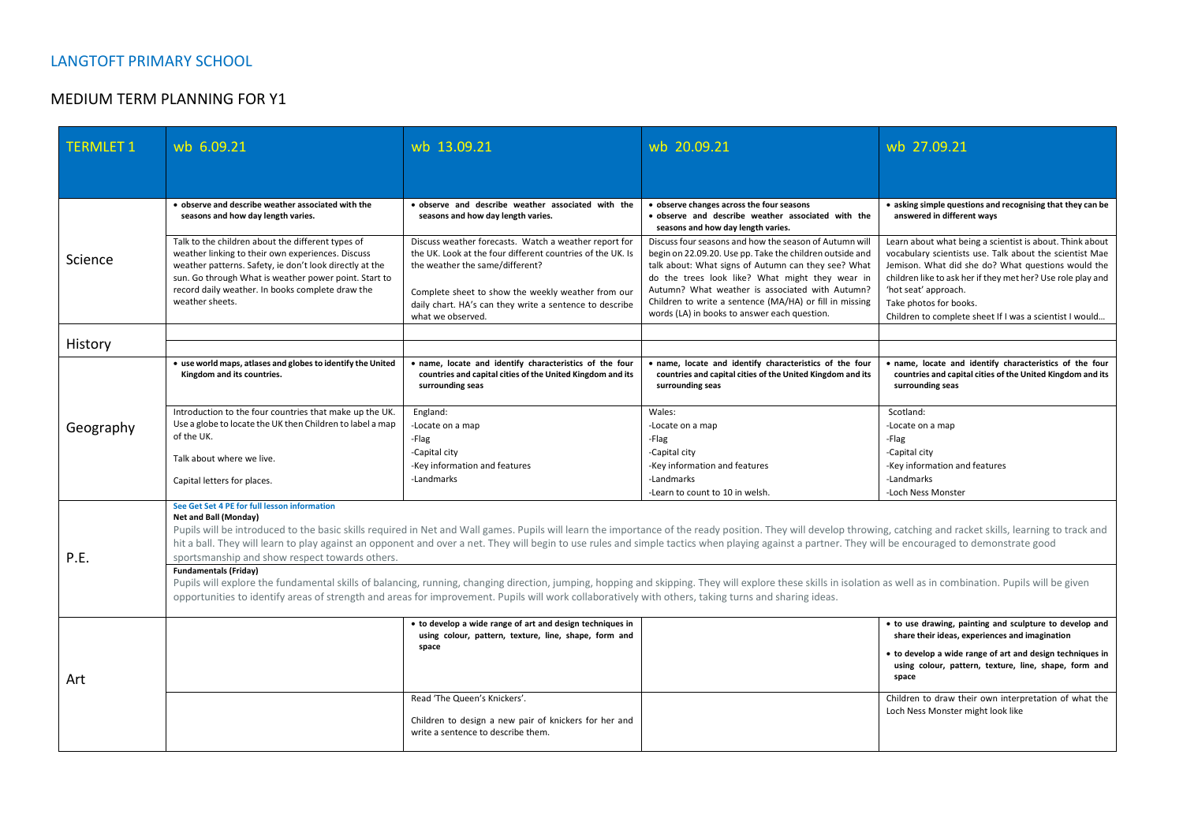## MEDIUM TERM PLANNING FOR Y1

| <b>TERMLET 1</b> | wb 6.09.21                                                                                                                                                                                                                                                                                                                                                                                                                                                                                                                                                                                                                                     | wb 13.09.21                                                                                                                                                                                                                                                                                  | wb 20.09.21                                                                                                                                                                                                                                                                                                                                                                                | wb 27.09.21                                                                                                                                                                                                                                                                                                                                           |  |
|------------------|------------------------------------------------------------------------------------------------------------------------------------------------------------------------------------------------------------------------------------------------------------------------------------------------------------------------------------------------------------------------------------------------------------------------------------------------------------------------------------------------------------------------------------------------------------------------------------------------------------------------------------------------|----------------------------------------------------------------------------------------------------------------------------------------------------------------------------------------------------------------------------------------------------------------------------------------------|--------------------------------------------------------------------------------------------------------------------------------------------------------------------------------------------------------------------------------------------------------------------------------------------------------------------------------------------------------------------------------------------|-------------------------------------------------------------------------------------------------------------------------------------------------------------------------------------------------------------------------------------------------------------------------------------------------------------------------------------------------------|--|
|                  |                                                                                                                                                                                                                                                                                                                                                                                                                                                                                                                                                                                                                                                |                                                                                                                                                                                                                                                                                              |                                                                                                                                                                                                                                                                                                                                                                                            |                                                                                                                                                                                                                                                                                                                                                       |  |
|                  | • observe and describe weather associated with the<br>seasons and how day length varies.                                                                                                                                                                                                                                                                                                                                                                                                                                                                                                                                                       | • observe and describe weather associated with the<br>seasons and how day length varies.                                                                                                                                                                                                     | • observe changes across the four seasons<br>· observe and describe weather associated with the<br>seasons and how day length varies.                                                                                                                                                                                                                                                      | • asking simple questions and recognising that they can be<br>answered in different ways                                                                                                                                                                                                                                                              |  |
| Science          | Talk to the children about the different types of<br>weather linking to their own experiences. Discuss<br>weather patterns. Safety, ie don't look directly at the<br>sun. Go through What is weather power point. Start to<br>record daily weather. In books complete draw the<br>weather sheets.                                                                                                                                                                                                                                                                                                                                              | Discuss weather forecasts. Watch a weather report for<br>the UK. Look at the four different countries of the UK. Is<br>the weather the same/different?<br>Complete sheet to show the weekly weather from our<br>daily chart. HA's can they write a sentence to describe<br>what we observed. | Discuss four seasons and how the season of Autumn will<br>begin on 22.09.20. Use pp. Take the children outside and<br>talk about: What signs of Autumn can they see? What<br>do the trees look like? What might they wear in<br>Autumn? What weather is associated with Autumn?<br>Children to write a sentence (MA/HA) or fill in missing<br>words (LA) in books to answer each question. | Learn about what being a scientist is about. Think about<br>vocabulary scientists use. Talk about the scientist Mae<br>Jemison. What did she do? What questions would the<br>children like to ask her if they met her? Use role play and<br>'hot seat' approach.<br>Take photos for books.<br>Children to complete sheet If I was a scientist I would |  |
| History          |                                                                                                                                                                                                                                                                                                                                                                                                                                                                                                                                                                                                                                                |                                                                                                                                                                                                                                                                                              |                                                                                                                                                                                                                                                                                                                                                                                            |                                                                                                                                                                                                                                                                                                                                                       |  |
| Geography        | • use world maps, atlases and globes to identify the United<br>Kingdom and its countries.                                                                                                                                                                                                                                                                                                                                                                                                                                                                                                                                                      | . name, locate and identify characteristics of the four<br>countries and capital cities of the United Kingdom and its<br>surrounding seas                                                                                                                                                    | . name, locate and identify characteristics of the four<br>countries and capital cities of the United Kingdom and its<br>surrounding seas                                                                                                                                                                                                                                                  | · name, locate and identify characteristics of the four<br>countries and capital cities of the United Kingdom and its<br>surrounding seas                                                                                                                                                                                                             |  |
|                  | Introduction to the four countries that make up the UK.<br>Use a globe to locate the UK then Children to label a map<br>of the UK.                                                                                                                                                                                                                                                                                                                                                                                                                                                                                                             | England:<br>-Locate on a map<br>-Flag                                                                                                                                                                                                                                                        | Wales:<br>-Locate on a map<br>-Flag                                                                                                                                                                                                                                                                                                                                                        | Scotland:<br>-Locate on a map<br>-Flag                                                                                                                                                                                                                                                                                                                |  |
|                  | Talk about where we live.<br>Capital letters for places.                                                                                                                                                                                                                                                                                                                                                                                                                                                                                                                                                                                       | -Capital city<br>-Key information and features<br>-Landmarks                                                                                                                                                                                                                                 | -Capital city<br>-Key information and features<br>-Landmarks                                                                                                                                                                                                                                                                                                                               | -Capital city<br>-Key information and features<br>-Landmarks                                                                                                                                                                                                                                                                                          |  |
| P.E.             | -Learn to count to 10 in welsh.<br>-Loch Ness Monster<br>See Get Set 4 PE for full lesson information<br>Net and Ball (Monday)<br>Pupils will be introduced to the basic skills required in Net and Wall games. Pupils will learn the importance of the ready position. They will develop throwing, catching and racket skills, learning to track and<br>hit a ball. They will learn to play against an opponent and over a net. They will begin to use rules and simple tactics when playing against a partner. They will be encouraged to demonstrate good<br>sportsmanship and show respect towards others.<br><b>Fundamentals (Friday)</b> |                                                                                                                                                                                                                                                                                              |                                                                                                                                                                                                                                                                                                                                                                                            |                                                                                                                                                                                                                                                                                                                                                       |  |
|                  | Pupils will explore the fundamental skills of balancing, running, changing direction, jumping, hopping and skipping. They will explore these skills in isolation as well as in combination. Pupils will be given<br>opportunities to identify areas of strength and areas for improvement. Pupils will work collaboratively with others, taking turns and sharing ideas.                                                                                                                                                                                                                                                                       |                                                                                                                                                                                                                                                                                              |                                                                                                                                                                                                                                                                                                                                                                                            |                                                                                                                                                                                                                                                                                                                                                       |  |
| Art              |                                                                                                                                                                                                                                                                                                                                                                                                                                                                                                                                                                                                                                                | • to develop a wide range of art and design techniques in<br>using colour, pattern, texture, line, shape, form and                                                                                                                                                                           |                                                                                                                                                                                                                                                                                                                                                                                            | • to use drawing, painting and sculpture to develop and<br>share their ideas, experiences and imagination                                                                                                                                                                                                                                             |  |
|                  |                                                                                                                                                                                                                                                                                                                                                                                                                                                                                                                                                                                                                                                | space                                                                                                                                                                                                                                                                                        |                                                                                                                                                                                                                                                                                                                                                                                            | • to develop a wide range of art and design techniques in<br>using colour, pattern, texture, line, shape, form and<br>space                                                                                                                                                                                                                           |  |
|                  |                                                                                                                                                                                                                                                                                                                                                                                                                                                                                                                                                                                                                                                | Read 'The Queen's Knickers'.<br>Children to design a new pair of knickers for her and<br>write a sentence to describe them.                                                                                                                                                                  |                                                                                                                                                                                                                                                                                                                                                                                            | Children to draw their own interpretation of what the<br>Loch Ness Monster might look like                                                                                                                                                                                                                                                            |  |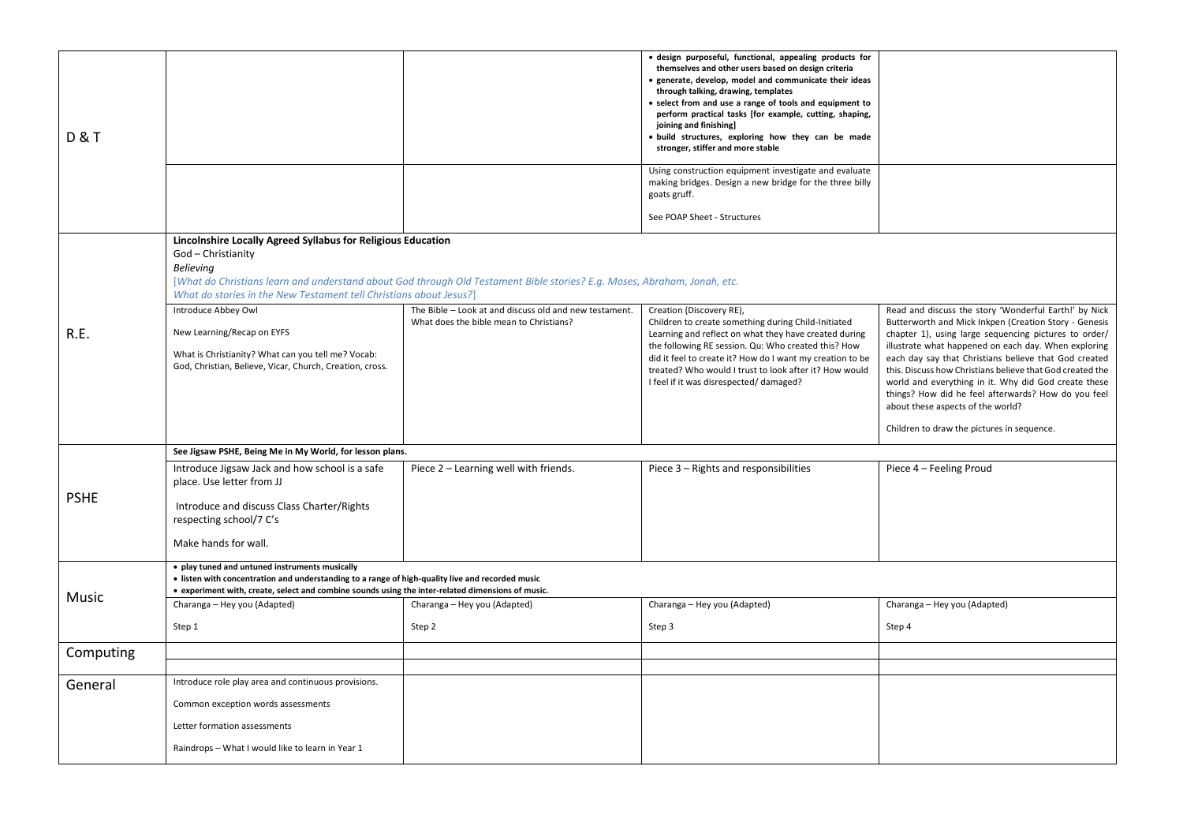| <b>D&amp;T</b> |                                                                                                                                                                                                                                                                                                          |                                                                                                   | · design purposeful, functional, appealing products for<br>themselves and other users based on design criteria<br>· generate, develop, model and communicate their ideas<br>through talking, drawing, templates<br>• select from and use a range of tools and equipment to<br>perform practical tasks [for example, cutting, shaping,<br>joining and finishing]<br>· build structures, exploring how they can be made<br>stronger, stiffer and more stable |                                                                                                                                                                                                                                                                                                                                                                                                                                                                                                                                                         |  |
|----------------|----------------------------------------------------------------------------------------------------------------------------------------------------------------------------------------------------------------------------------------------------------------------------------------------------------|---------------------------------------------------------------------------------------------------|------------------------------------------------------------------------------------------------------------------------------------------------------------------------------------------------------------------------------------------------------------------------------------------------------------------------------------------------------------------------------------------------------------------------------------------------------------|---------------------------------------------------------------------------------------------------------------------------------------------------------------------------------------------------------------------------------------------------------------------------------------------------------------------------------------------------------------------------------------------------------------------------------------------------------------------------------------------------------------------------------------------------------|--|
|                |                                                                                                                                                                                                                                                                                                          |                                                                                                   | Using construction equipment investigate and evaluate<br>making bridges. Design a new bridge for the three billy<br>goats gruff.<br>See POAP Sheet - Structures                                                                                                                                                                                                                                                                                            |                                                                                                                                                                                                                                                                                                                                                                                                                                                                                                                                                         |  |
|                | Lincolnshire Locally Agreed Syllabus for Religious Education<br>God - Christianity<br><b>Believing</b><br>[What do Christians learn and understand about God through Old Testament Bible stories? E.g. Moses, Abraham, Jonah, etc.<br>What do stories in the New Testament tell Christians about Jesus?] |                                                                                                   |                                                                                                                                                                                                                                                                                                                                                                                                                                                            |                                                                                                                                                                                                                                                                                                                                                                                                                                                                                                                                                         |  |
| R.E.           | Introduce Abbey Owl<br>New Learning/Recap on EYFS<br>What is Christianity? What can you tell me? Vocab:<br>God, Christian, Believe, Vicar, Church, Creation, cross.                                                                                                                                      | The Bible - Look at and discuss old and new testament.<br>What does the bible mean to Christians? | Creation (Discovery RE),<br>Children to create something during Child-Initiated<br>Learning and reflect on what they have created during<br>the following RE session. Qu: Who created this? How<br>did it feel to create it? How do I want my creation to be<br>treated? Who would I trust to look after it? How would<br>I feel if it was disrespected/damaged?                                                                                           | Read and discuss the story 'Wonderful Earth!' by Nick<br>Butterworth and Mick Inkpen (Creation Story - Genesis<br>chapter 1), using large sequencing pictures to order/<br>illustrate what happened on each day. When exploring<br>each day say that Christians believe that God created<br>this. Discuss how Christians believe that God created the<br>world and everything in it. Why did God create these<br>things? How did he feel afterwards? How do you feel<br>about these aspects of the world?<br>Children to draw the pictures in sequence. |  |
|                | See Jigsaw PSHE, Being Me in My World, for lesson plans.                                                                                                                                                                                                                                                 |                                                                                                   |                                                                                                                                                                                                                                                                                                                                                                                                                                                            |                                                                                                                                                                                                                                                                                                                                                                                                                                                                                                                                                         |  |
|                | Introduce Jigsaw Jack and how school is a safe<br>place. Use letter from JJ                                                                                                                                                                                                                              | Piece 2 - Learning well with friends.                                                             | Piece 3 - Rights and responsibilities                                                                                                                                                                                                                                                                                                                                                                                                                      | Piece 4 - Feeling Proud                                                                                                                                                                                                                                                                                                                                                                                                                                                                                                                                 |  |
| <b>PSHE</b>    | Introduce and discuss Class Charter/Rights<br>respecting school/7 C's                                                                                                                                                                                                                                    |                                                                                                   |                                                                                                                                                                                                                                                                                                                                                                                                                                                            |                                                                                                                                                                                                                                                                                                                                                                                                                                                                                                                                                         |  |
|                | Make hands for wall.                                                                                                                                                                                                                                                                                     |                                                                                                   |                                                                                                                                                                                                                                                                                                                                                                                                                                                            |                                                                                                                                                                                                                                                                                                                                                                                                                                                                                                                                                         |  |
| Music          | • play tuned and untuned instruments musically<br>• listen with concentration and understanding to a range of high-quality live and recorded music<br>• experiment with, create, select and combine sounds using the inter-related dimensions of music.                                                  |                                                                                                   |                                                                                                                                                                                                                                                                                                                                                                                                                                                            |                                                                                                                                                                                                                                                                                                                                                                                                                                                                                                                                                         |  |
|                | Charanga - Hey you (Adapted)                                                                                                                                                                                                                                                                             | Charanga - Hey you (Adapted)                                                                      | Charanga - Hey you (Adapted)                                                                                                                                                                                                                                                                                                                                                                                                                               | Charanga - Hey you (Adapted)                                                                                                                                                                                                                                                                                                                                                                                                                                                                                                                            |  |
|                | Step 1                                                                                                                                                                                                                                                                                                   | Step 2                                                                                            | Step 3                                                                                                                                                                                                                                                                                                                                                                                                                                                     | Step 4                                                                                                                                                                                                                                                                                                                                                                                                                                                                                                                                                  |  |
| Computing      |                                                                                                                                                                                                                                                                                                          |                                                                                                   |                                                                                                                                                                                                                                                                                                                                                                                                                                                            |                                                                                                                                                                                                                                                                                                                                                                                                                                                                                                                                                         |  |
| General        | Introduce role play area and continuous provisions.                                                                                                                                                                                                                                                      |                                                                                                   |                                                                                                                                                                                                                                                                                                                                                                                                                                                            |                                                                                                                                                                                                                                                                                                                                                                                                                                                                                                                                                         |  |
|                | Common exception words assessments                                                                                                                                                                                                                                                                       |                                                                                                   |                                                                                                                                                                                                                                                                                                                                                                                                                                                            |                                                                                                                                                                                                                                                                                                                                                                                                                                                                                                                                                         |  |
|                | Letter formation assessments                                                                                                                                                                                                                                                                             |                                                                                                   |                                                                                                                                                                                                                                                                                                                                                                                                                                                            |                                                                                                                                                                                                                                                                                                                                                                                                                                                                                                                                                         |  |
|                | Raindrops - What I would like to learn in Year 1                                                                                                                                                                                                                                                         |                                                                                                   |                                                                                                                                                                                                                                                                                                                                                                                                                                                            |                                                                                                                                                                                                                                                                                                                                                                                                                                                                                                                                                         |  |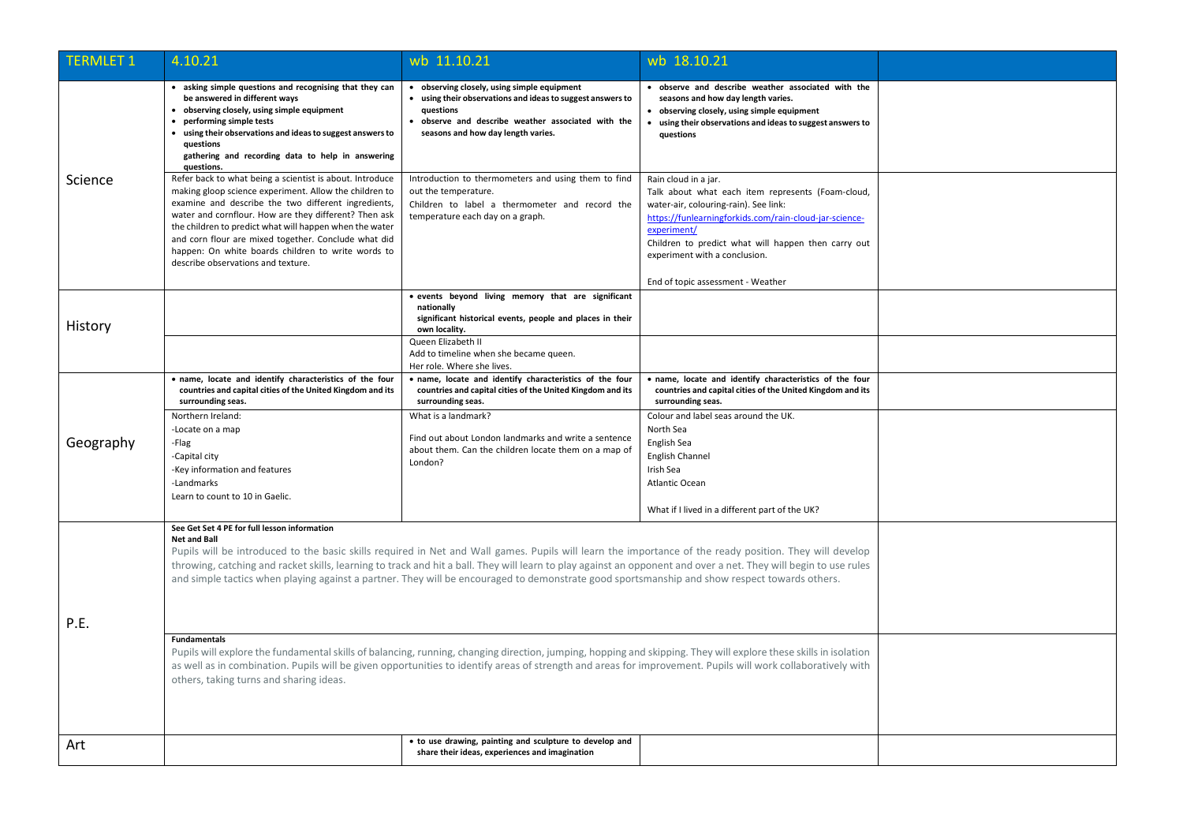| <b>TERMLET 1</b> | 4.10.21                                                                                                                                                                                                                                                                                                                                                                                                                                                                                                                                             | wb 11.10.21                                                                                                                                                                                                        | wb 18.10.21                                                                                                                                                                                                                                                                         |  |
|------------------|-----------------------------------------------------------------------------------------------------------------------------------------------------------------------------------------------------------------------------------------------------------------------------------------------------------------------------------------------------------------------------------------------------------------------------------------------------------------------------------------------------------------------------------------------------|--------------------------------------------------------------------------------------------------------------------------------------------------------------------------------------------------------------------|-------------------------------------------------------------------------------------------------------------------------------------------------------------------------------------------------------------------------------------------------------------------------------------|--|
| Science          | • asking simple questions and recognising that they can<br>be answered in different ways<br>• observing closely, using simple equipment<br>• performing simple tests<br>• using their observations and ideas to suggest answers to<br>questions<br>gathering and recording data to help in answering<br>questions.                                                                                                                                                                                                                                  | • observing closely, using simple equipment<br>• using their observations and ideas to suggest answers to<br>questions<br>· observe and describe weather associated with the<br>seasons and how day length varies. | · observe and describe weather associated with the<br>seasons and how day length varies.<br>• observing closely, using simple equipment<br>• using their observations and ideas to suggest answers to<br>questions                                                                  |  |
|                  | Refer back to what being a scientist is about. Introduce<br>making gloop science experiment. Allow the children to<br>examine and describe the two different ingredients,<br>water and cornflour. How are they different? Then ask<br>the children to predict what will happen when the water<br>and corn flour are mixed together. Conclude what did<br>happen: On white boards children to write words to<br>describe observations and texture.                                                                                                   | Introduction to thermometers and using them to find<br>out the temperature.<br>Children to label a thermometer and record the<br>temperature each day on a graph.                                                  | Rain cloud in a jar.<br>Talk about what each item represents (Foam-cloud,<br>water-air, colouring-rain). See link:<br>https://funlearningforkids.com/rain-cloud-jar-science-<br>experiment/<br>Children to predict what will happen then carry out<br>experiment with a conclusion. |  |
| History          |                                                                                                                                                                                                                                                                                                                                                                                                                                                                                                                                                     | • events beyond living memory that are significant<br>nationally<br>significant historical events, people and places in their<br>own locality.                                                                     | End of topic assessment - Weather                                                                                                                                                                                                                                                   |  |
|                  |                                                                                                                                                                                                                                                                                                                                                                                                                                                                                                                                                     | Queen Elizabeth II<br>Add to timeline when she became queen.<br>Her role. Where she lives.                                                                                                                         |                                                                                                                                                                                                                                                                                     |  |
| Geography        | . name, locate and identify characteristics of the four<br>countries and capital cities of the United Kingdom and its<br>surrounding seas.                                                                                                                                                                                                                                                                                                                                                                                                          | . name, locate and identify characteristics of the four<br>countries and capital cities of the United Kingdom and its<br>surrounding seas.                                                                         | · name, locate and identify characteristics of the four<br>countries and capital cities of the United Kingdom and its<br>surrounding seas.                                                                                                                                          |  |
|                  | Northern Ireland:<br>-Locate on a map<br>-Flag<br>-Capital city<br>-Key information and features<br>-Landmarks<br>Learn to count to 10 in Gaelic.                                                                                                                                                                                                                                                                                                                                                                                                   | What is a landmark?<br>Find out about London landmarks and write a sentence<br>about them. Can the children locate them on a map of<br>London?                                                                     | Colour and label seas around the UK.<br>North Sea<br>English Sea<br><b>English Channel</b><br>Irish Sea<br>Atlantic Ocean<br>What if I lived in a different part of the UK?                                                                                                         |  |
| P.E.             | See Get Set 4 PE for full lesson information<br><b>Net and Ball</b><br>Pupils will be introduced to the basic skills required in Net and Wall games. Pupils will learn the importance of the ready position. They will develop<br>throwing, catching and racket skills, learning to track and hit a ball. They will learn to play against an opponent and over a net. They will begin to use rules<br>and simple tactics when playing against a partner. They will be encouraged to demonstrate good sportsmanship and show respect towards others. |                                                                                                                                                                                                                    |                                                                                                                                                                                                                                                                                     |  |
|                  | <b>Fundamentals</b><br>Pupils will explore the fundamental skills of balancing, running, changing direction, jumping, hopping and skipping. They will explore these skills in isolation<br>as well as in combination. Pupils will be given opportunities to identify areas of strength and areas for improvement. Pupils will work collaboratively with<br>others, taking turns and sharing ideas.                                                                                                                                                  |                                                                                                                                                                                                                    |                                                                                                                                                                                                                                                                                     |  |
| Art              |                                                                                                                                                                                                                                                                                                                                                                                                                                                                                                                                                     | • to use drawing, painting and sculpture to develop and<br>share their ideas, experiences and imagination                                                                                                          |                                                                                                                                                                                                                                                                                     |  |